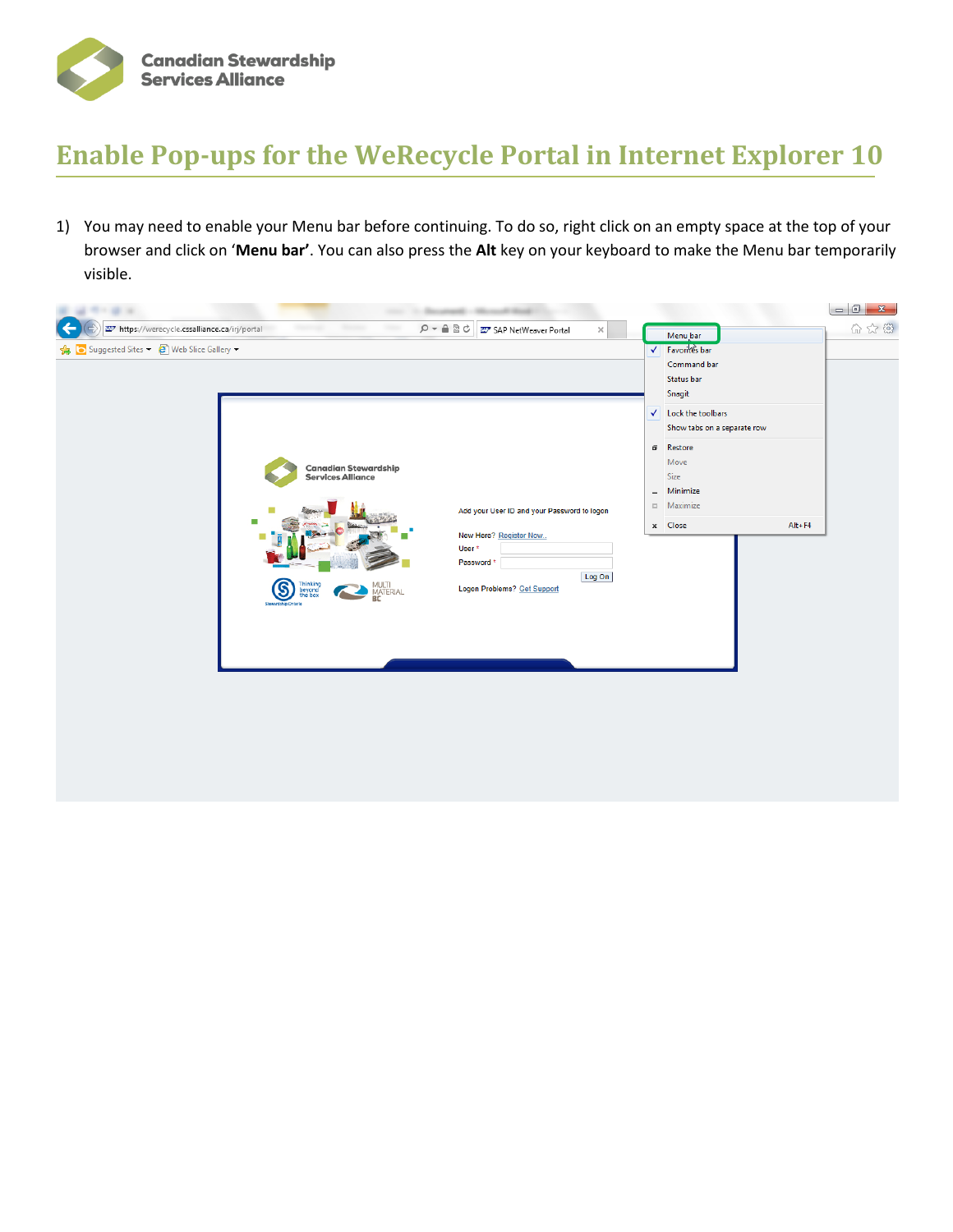

## **Enable Pop-ups for the WeRecycle Portal in Internet Explorer 10**

1) You may need to enable your Menu bar before continuing. To do so, right click on an empty space at the top of your browser and click on '**Menu bar'**. You can also press the **Alt** key on your keyboard to make the Menu bar temporarily visible.

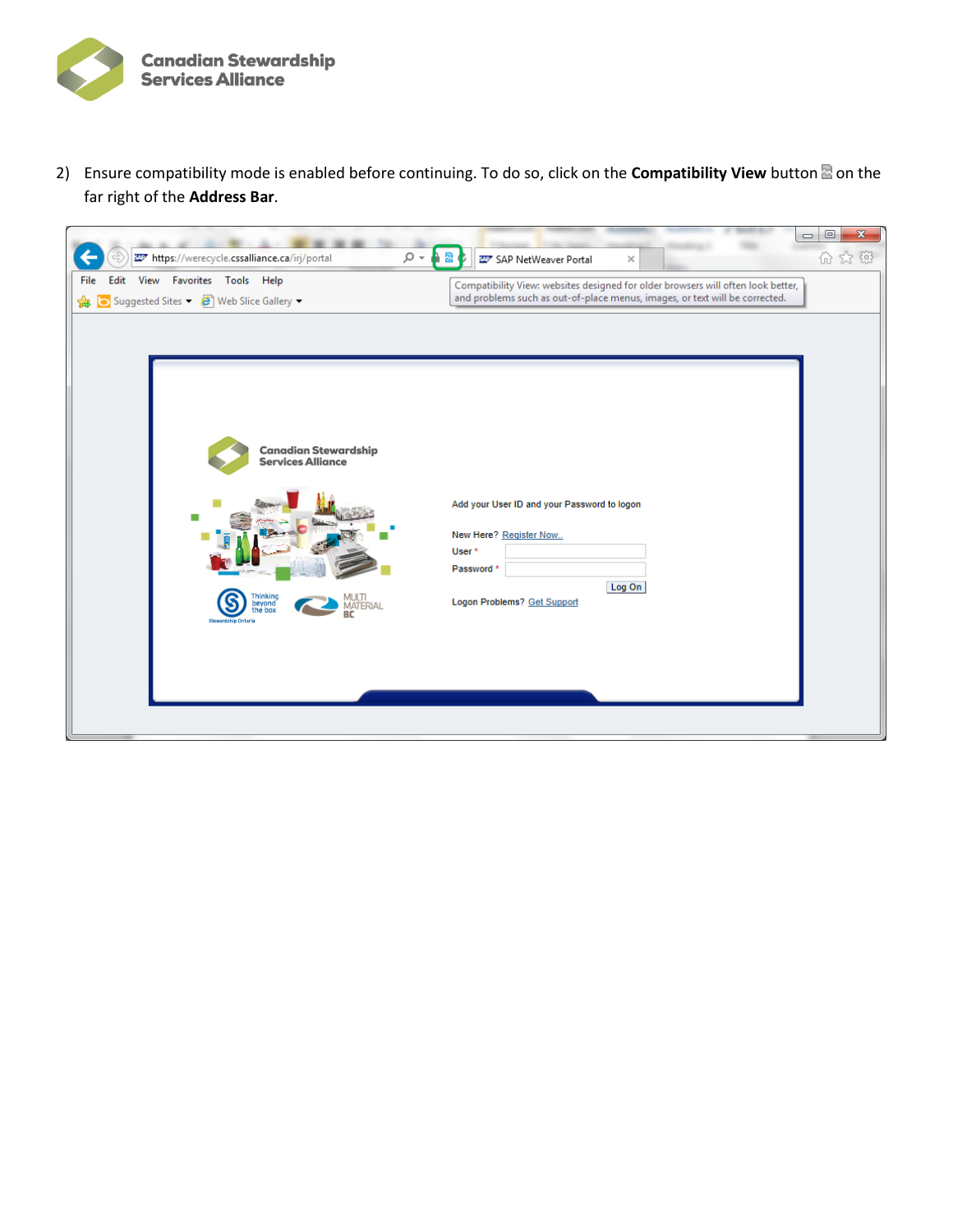

2) Ensure compatibility mode is enabled before continuing. To do so, click on the **Compatibility View** button<sup>2</sup> on the far right of the **Address Bar**.

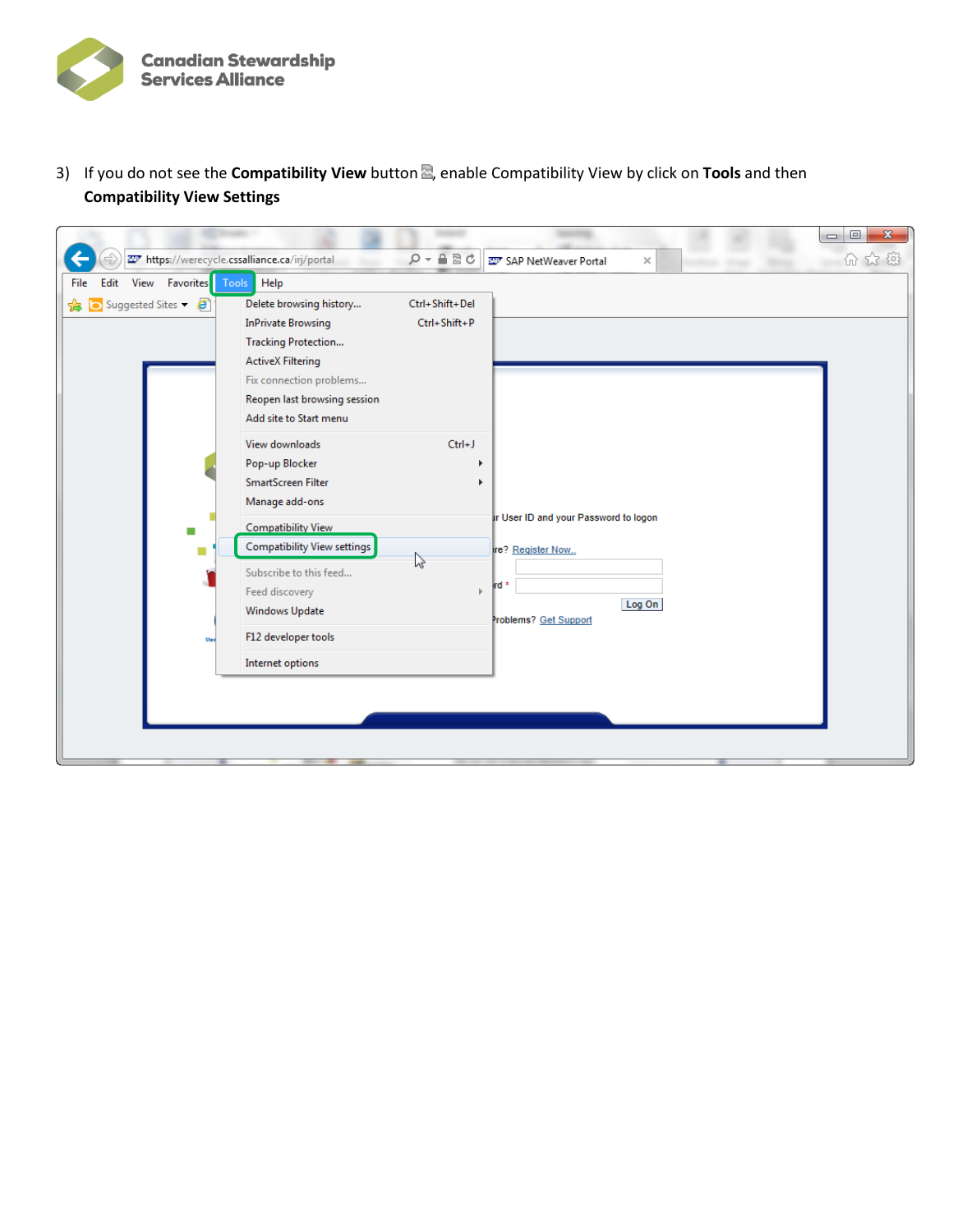

3) If you do not see the **Compatibility View** button<sup>2</sup>, enable Compatibility View by click on Tools and then **Compatibility View Settings**

| https://werecycle.cssalliance.ca/irj/portal                      |                                                                                                                                                                                                                    | $Q - A B C$                     | SAP NetWeaver Portal<br>$\times$                                                                     | $= 0$<br>$\mathbf{x}$<br>价众链 |
|------------------------------------------------------------------|--------------------------------------------------------------------------------------------------------------------------------------------------------------------------------------------------------------------|---------------------------------|------------------------------------------------------------------------------------------------------|------------------------------|
| View Favorites Tools Help<br>File<br>Edit<br>Suggested Sites - 2 | Delete browsing history<br><b>InPrivate Browsing</b><br>Tracking Protection<br><b>ActiveX Filtering</b><br>Fix connection problems<br>Reopen last browsing session<br>Add site to Start menu                       | Ctrl+Shift+Del<br>Ctrl+Shift+P  |                                                                                                      |                              |
| Stev                                                             | View downloads<br>Pop-up Blocker<br>SmartScreen Filter<br>Manage add-ons<br>Compatibility View<br>Compatibility View settings<br>Subscribe to this feed<br>Feed discovery<br>Windows Update<br>F12 developer tools | $Ctrl + J$<br>$\mathbb{Z}$<br>ь | ir User ID and your Password to logon<br>re? Register Now<br>rd *<br>Log On<br>Problems? Get Support |                              |
|                                                                  | Internet options                                                                                                                                                                                                   |                                 |                                                                                                      |                              |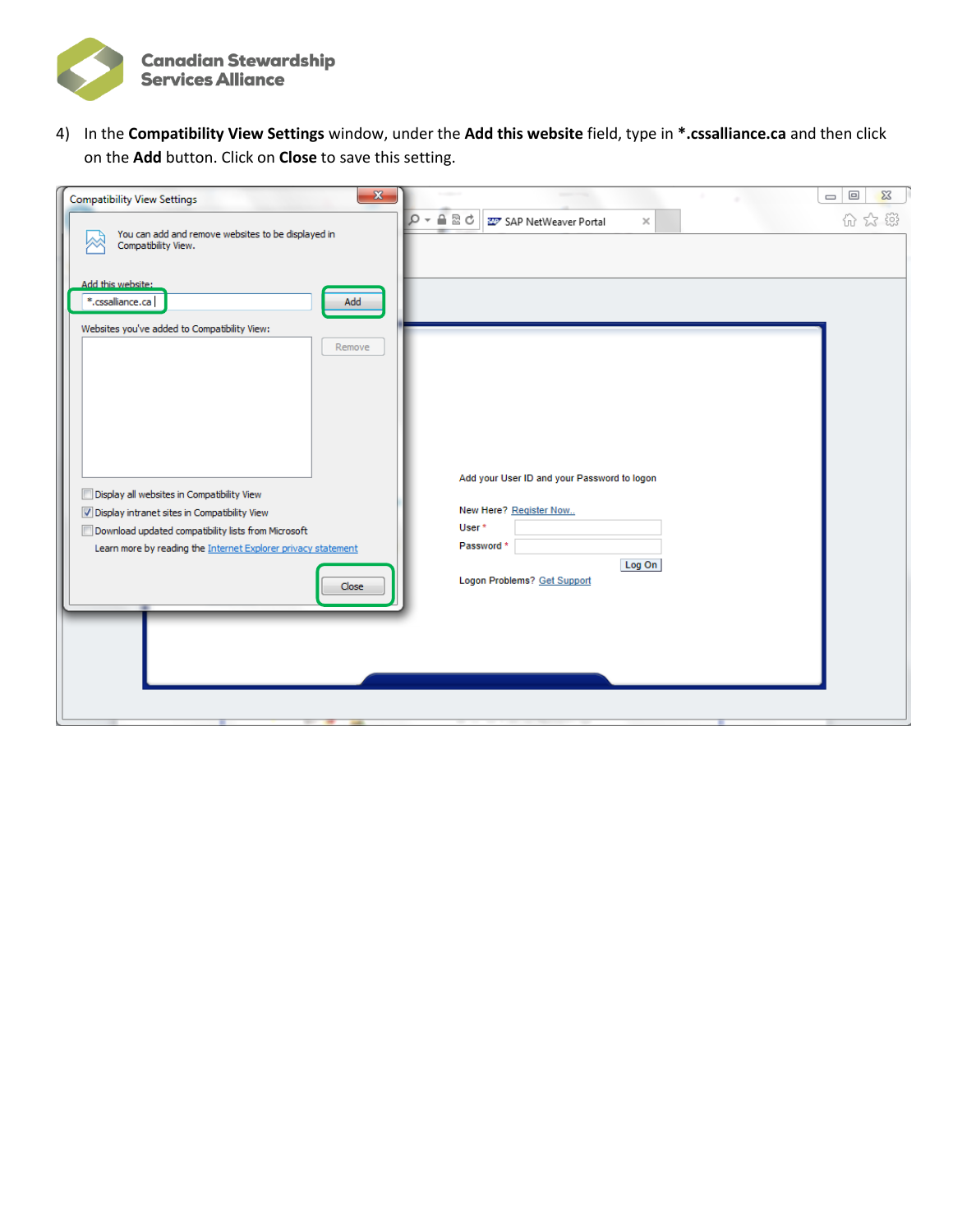

4) In the **Compatibility View Settings** window, under the **Add this website** field, type in **\*.cssalliance.ca** and then click on the **Add** button. Click on **Close** to save this setting.

| $\mathbf{x}$<br><b>Compatibility View Settings</b>                                                                                                                                                                                    | $\Sigma$<br>$\Box$<br>$\qquad \qquad \Box$                                                                                                        |
|---------------------------------------------------------------------------------------------------------------------------------------------------------------------------------------------------------------------------------------|---------------------------------------------------------------------------------------------------------------------------------------------------|
| You can add and remove websites to be displayed in<br>Compatibility View.                                                                                                                                                             | A B C<br>$\circ$<br>分公辩<br>SAP NetWeaver Portal<br>$\overline{\phantom{a}}$<br>×                                                                  |
| Add this website:<br>*.cssalliance.ca<br>Add<br>Websites you've added to Compatibility View:                                                                                                                                          |                                                                                                                                                   |
| Remove<br>Display all websites in Compatibility View<br>Display intranet sites in Compatibility View<br>Download updated compatibility lists from Microsoft<br>Learn more by reading the Internet Explorer privacy statement<br>Close | Add your User ID and your Password to logon<br>New Here? Register Now<br>User <sup>*</sup><br>Password *<br>Log On<br>Logon Problems? Get Support |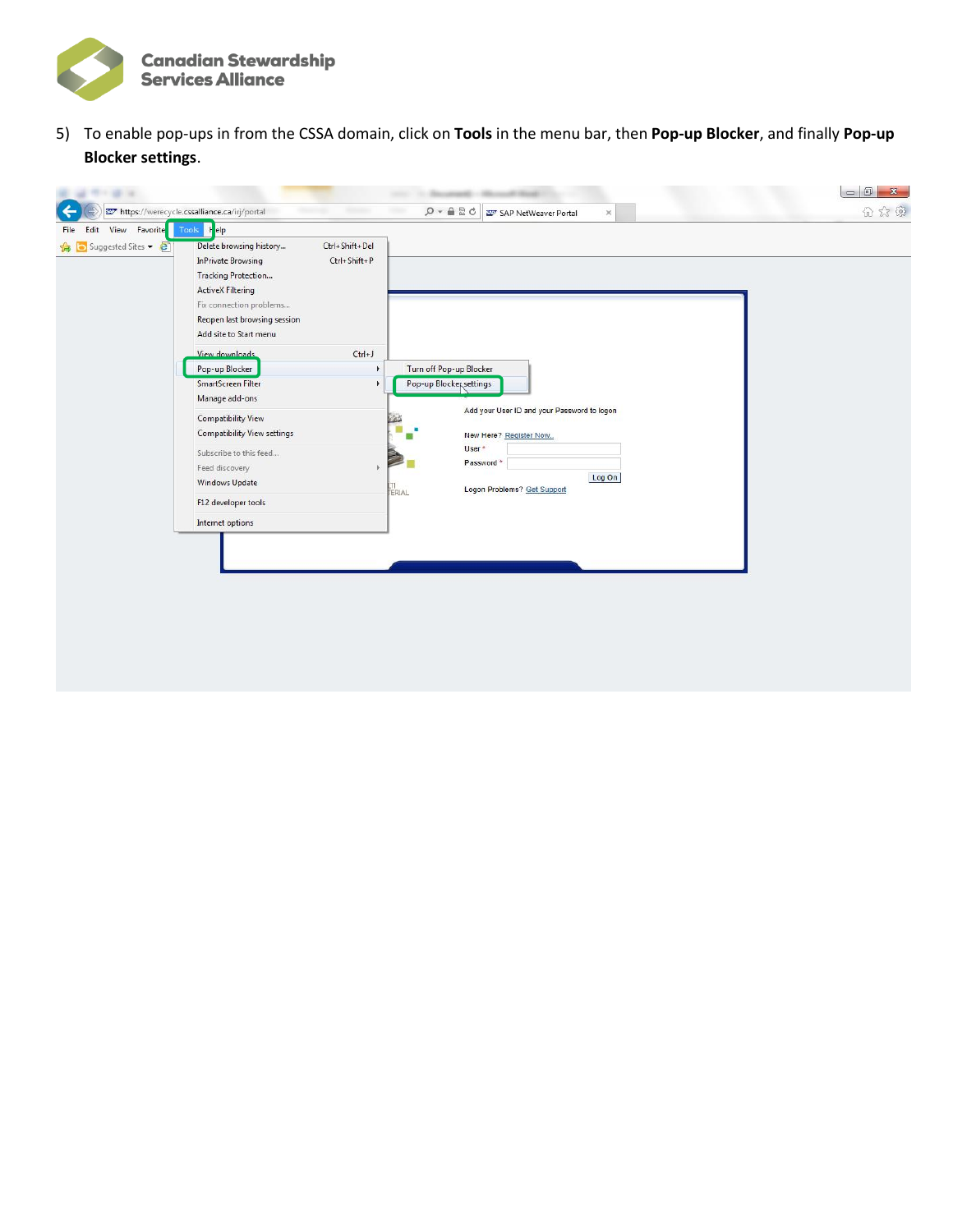

5) To enable pop-ups in from the CSSA domain, click on **Tools** in the menu bar, then **Pop-up Blocker**, and finally **Pop-up Blocker settings**.